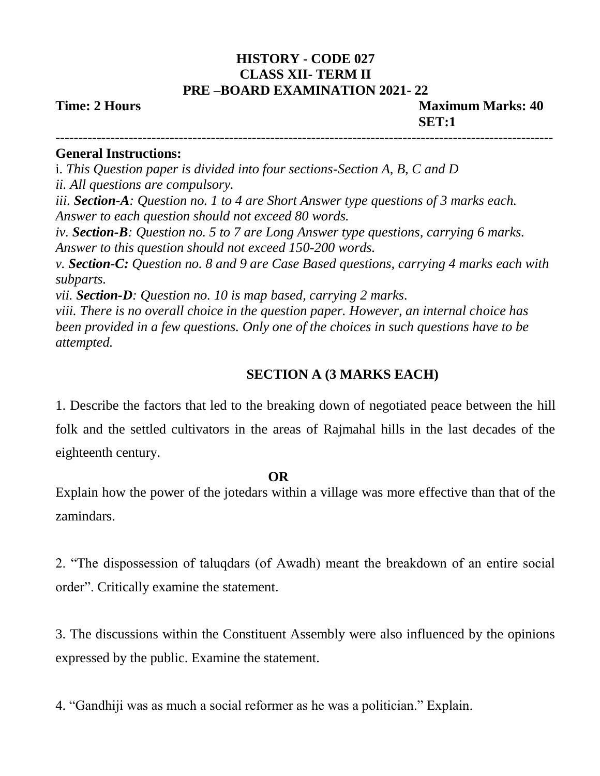# **HISTORY - CODE 027 CLASS XII- TERM II PRE –BOARD EXAMINATION 2021- 22**

**Time: 2 Hours Maximum Marks: 40 <b>Maximum Marks: 40 SET:1**

-------------------------------------------------------------------------------------------------------------

#### **General Instructions:**

i. *This Question paper is divided into four sections-Section A, B, C and D ii. All questions are compulsory.* 

*iii. Section-A: Question no. 1 to 4 are Short Answer type questions of 3 marks each. Answer to each question should not exceed 80 words.* 

*iv. Section-B: Question no. 5 to 7 are Long Answer type questions, carrying 6 marks. Answer to this question should not exceed 150-200 words.* 

*v. Section-C: Question no. 8 and 9 are Case Based questions, carrying 4 marks each with subparts.* 

*vii. Section-D: Question no. 10 is map based, carrying 2 marks.*

*viii. There is no overall choice in the question paper. However, an internal choice has been provided in a few questions. Only one of the choices in such questions have to be attempted.*

## **SECTION A (3 MARKS EACH)**

1. Describe the factors that led to the breaking down of negotiated peace between the hill folk and the settled cultivators in the areas of Rajmahal hills in the last decades of the eighteenth century.

### **OR**

Explain how the power of the jotedars within a village was more effective than that of the zamindars.

2. "The dispossession of taluqdars (of Awadh) meant the breakdown of an entire social order". Critically examine the statement.

3. The discussions within the Constituent Assembly were also influenced by the opinions expressed by the public. Examine the statement.

4. "Gandhiji was as much a social reformer as he was a politician." Explain.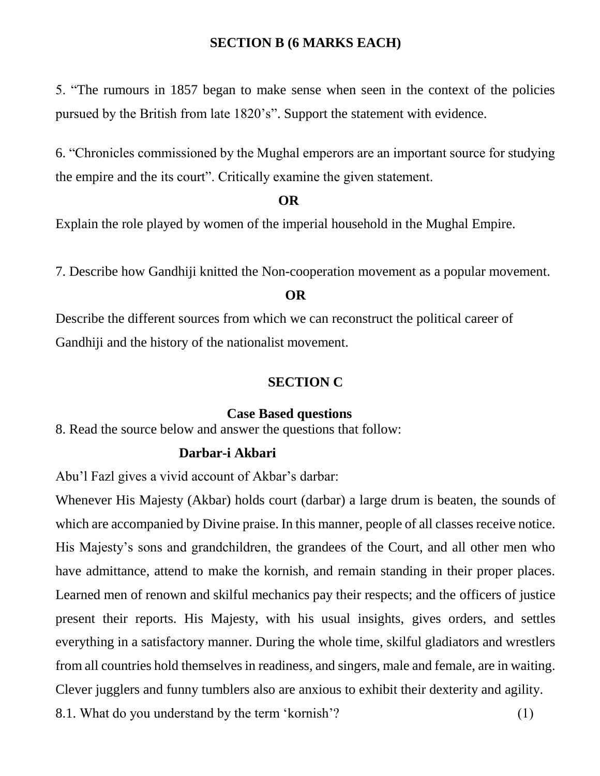## **SECTION B (6 MARKS EACH)**

5. "The rumours in 1857 began to make sense when seen in the context of the policies pursued by the British from late 1820's". Support the statement with evidence.

6. "Chronicles commissioned by the Mughal emperors are an important source for studying the empire and the its court". Critically examine the given statement.

#### **OR**

Explain the role played by women of the imperial household in the Mughal Empire.

7. Describe how Gandhiji knitted the Non-cooperation movement as a popular movement.

#### **OR**

Describe the different sources from which we can reconstruct the political career of Gandhiji and the history of the nationalist movement.

#### **SECTION C**

#### **Case Based questions**

8. Read the source below and answer the questions that follow:

### **Darbar-i Akbari**

Abu'l Fazl gives a vivid account of Akbar's darbar:

Whenever His Majesty (Akbar) holds court (darbar) a large drum is beaten, the sounds of which are accompanied by Divine praise. In this manner, people of all classes receive notice. His Majesty's sons and grandchildren, the grandees of the Court, and all other men who have admittance, attend to make the kornish, and remain standing in their proper places. Learned men of renown and skilful mechanics pay their respects; and the officers of justice present their reports. His Majesty, with his usual insights, gives orders, and settles everything in a satisfactory manner. During the whole time, skilful gladiators and wrestlers from all countries hold themselves in readiness, and singers, male and female, are in waiting. Clever jugglers and funny tumblers also are anxious to exhibit their dexterity and agility. 8.1. What do you understand by the term 'kornish'? (1)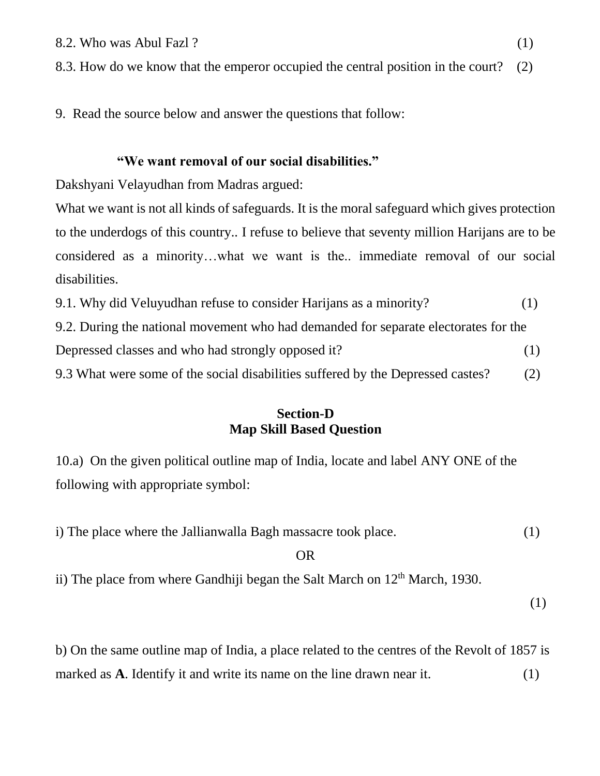8.3. How do we know that the emperor occupied the central position in the court? (2)

9. Read the source below and answer the questions that follow:

#### **"We want removal of our social disabilities."**

Dakshyani Velayudhan from Madras argued:

What we want is not all kinds of safeguards. It is the moral safeguard which gives protection to the underdogs of this country.. I refuse to believe that seventy million Harijans are to be considered as a minority…what we want is the.. immediate removal of our social disabilities.

| 9.1. Why did Veluyudhan refuse to consider Harijans as a minority?                  | (1) |
|-------------------------------------------------------------------------------------|-----|
| 9.2. During the national movement who had demanded for separate electorates for the |     |
| Depressed classes and who had strongly opposed it?                                  | (1) |
| 9.3 What were some of the social disabilities suffered by the Depressed castes?     | (2) |

## **Section-D Map Skill Based Question**

10.a) On the given political outline map of India, locate and label ANY ONE of the following with appropriate symbol:

| i) The place where the Jallian walla Bagh massacre took place. |  |
|----------------------------------------------------------------|--|
| OR                                                             |  |

ii) The place from where Gandhiji began the Salt March on  $12<sup>th</sup>$  March, 1930.

(1)

b) On the same outline map of India, a place related to the centres of the Revolt of 1857 is marked as **A**. Identify it and write its name on the line drawn near it. (1)